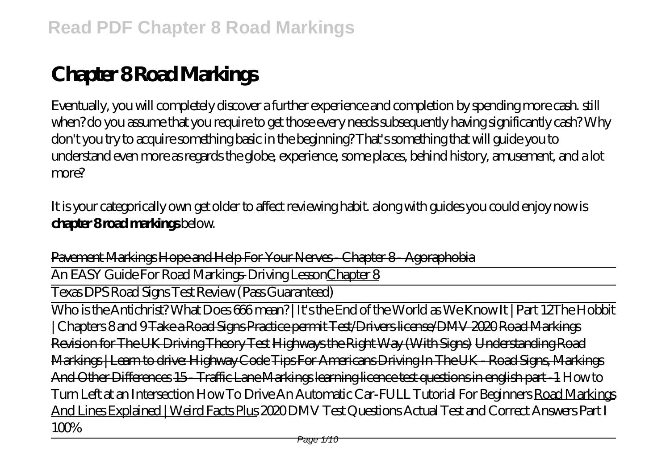## **Chapter 8 Road Markings**

Eventually, you will completely discover a further experience and completion by spending more cash. still when? do you assume that you require to get those every needs subsequently having significantly cash? Why don't you try to acquire something basic in the beginning? That's something that will guide you to understand even more as regards the globe, experience, some places, behind history, amusement, and a lot more?

It is your categorically own get older to affect reviewing habit. along with guides you could enjoy now is **chapter 8 road markings** below.

Pavement Markings Hope and Help For Your Nerves - Chapter 8 - Agoraphobia

An EASY Guide For Road Markings-Driving LessonChapter 8

Texas DPS Road Signs Test Review (Pass Guaranteed)

Who is the Antichrist? What Does 666 mean? | It's the End of the World as We Know It | Part 12*The Hobbit | Chapters 8 and 9* Take a Road Signs Practice permit Test/Drivers license/DMV 2020 Road Markings Revision for The UK Driving Theory Test Highways the Right Way (With Signs) Understanding Road Markings | Learn to drive: Highway Code Tips For Americans Driving In The UK - Road Signs, Markings And Other Differences 15 - Traffic Lane Markings learning licence test questions in english part -1 *How to Turn Left at an Intersection* How To Drive An Automatic Car-FULL Tutorial For Beginners Road Markings And Lines Explained | Weird Facts Plus 2020 DMV Test Questions Actual Test and Correct Answers Part I 100%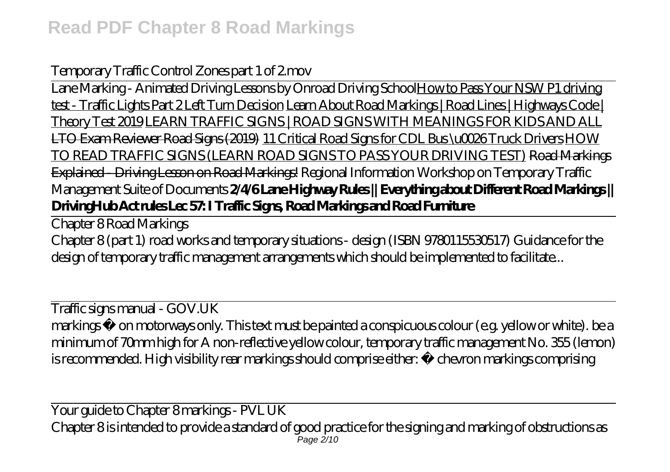## Temporary Traffic Control Zones part 1 of 2.mov

Lane Marking - Animated Driving Lessons by Onroad Driving SchoolHow to Pass Your NSW P1 driving test - Traffic Lights Part 2 Left Turn Decision Learn About Road Markings | Road Lines | Highways Code | Theory Test 2019 LEARN TRAFFIC SIGNS | ROAD SIGNS WITH MEANINGS FOR KIDS AND ALL LTO Exam Reviewer Road Signs (2019) 11 Critical Road Signs for CDL Bus \u0026 Truck Drivers HOW TO READ TRAFFIC SIGNS (LEARN ROAD SIGNS TO PASS YOUR DRIVING TEST) Road Markings Explained - Driving Lesson on Road Markings! *Regional Information Workshop on Temporary Traffic Management Suite of Documents* **2/4/6 Lane Highway Rules || Everything about Different Road Markings || DrivingHub Act rules Lec 57: I Traffic Signs, Road Markings and Road Furniture**

Chapter 8 Road Markings

Chapter 8 (part 1) road works and temporary situations - design (ISBN 9780115530517) Guidance for the design of temporary traffic management arrangements which should be implemented to facilitate...

Traffic signs manual - GOV.UK markings • on motorways only. This text must be painted a conspicuous colour (e.g. yellow or white). be a minimum of 70mm high for A non-reflective yellow colour, temporary traffic management No. 355 (lemon) is recommended. High visibility rear markings should comprise either: • chevron markings comprising

Your guide to Chapter 8 markings - PVL UK Chapter 8 is intended to provide a standard of good practice for the signing and marking of obstructions as Page 2/10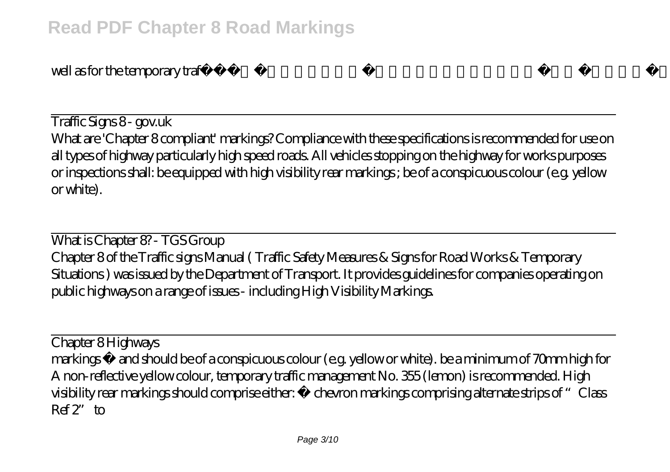well as for the temporary traffi c control necessitated by such obstructions of the...

Traffic Signs 8 - gov.uk What are 'Chapter 8 compliant' markings? Compliance with these specifications is recommended for use on all types of highway particularly high speed roads. All vehicles stopping on the highway for works purposes or inspections shall: be equipped with high visibility rear markings ; be of a conspicuous colour (e.g. yellow or white).

What is Chapter 8? - TGS Group Chapter 8 of the Traffic signs Manual ( Traffic Safety Measures & Signs for Road Works & Temporary Situations ) was issued by the Department of Transport. It provides guidelines for companies operating on public highways on a range of issues - including High Visibility Markings.

Chapter 8 Highways markings • and should be of a conspicuous colour (e.g. yellow or white). be a minimum of 70mm high for A non-reflective yellow colour, temporary traffic management No. 355 (lemon) is recommended. High visibility rear markings should comprise either: • chevron markings comprising alternate strips of "Class  $Ref$ <sup>2</sup>" to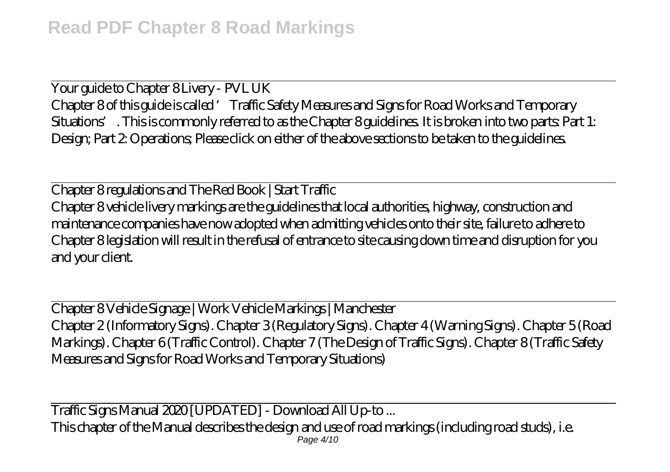Your guide to Chapter 8 Livery - PVL UK Chapter 8 of this guide is called 'Traffic Safety Measures and Signs for Road Works and Temporary Situations'. This is commonly referred to as the Chapter 8 guidelines. It is broken into two parts: Part 1: Design; Part 2: Operations; Please click on either of the above sections to be taken to the guidelines.

Chapter 8 regulations and The Red Book | Start Traffic Chapter 8 vehicle livery markings are the guidelines that local authorities, highway, construction and maintenance companies have now adopted when admitting vehicles onto their site, failure to adhere to Chapter 8 legislation will result in the refusal of entrance to site causing down time and disruption for you and your client.

Chapter 8 Vehicle Signage | Work Vehicle Markings | Manchester Chapter 2 (Informatory Signs). Chapter 3 (Regulatory Signs). Chapter 4 (Warning Signs). Chapter 5 (Road Markings). Chapter 6 (Traffic Control). Chapter 7 (The Design of Traffic Signs). Chapter 8 (Traffic Safety Measures and Signs for Road Works and Temporary Situations)

Traffic Signs Manual 2020 [UPDATED] - Download All Up-to ... This chapter of the Manual describes the design and use of road markings (including road studs), i.e. Page 4/10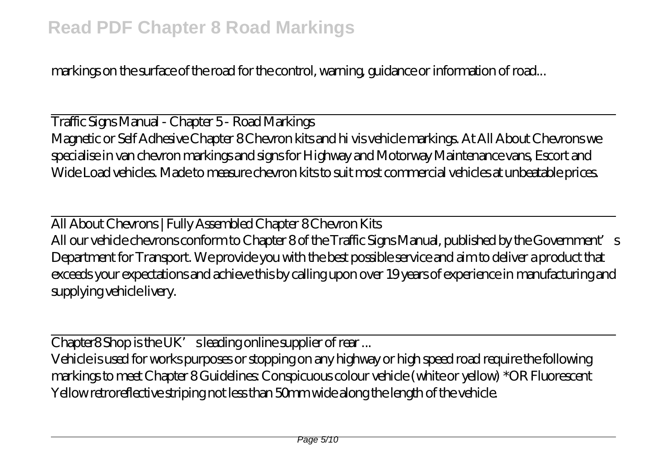markings on the surface of the road for the control, warning, guidance or information of road...

Traffic Signs Manual - Chapter 5 - Road Markings Magnetic or Self Adhesive Chapter 8 Chevron kits and hi vis vehicle markings. At All About Chevrons we specialise in van chevron markings and signs for Highway and Motorway Maintenance vans, Escort and Wide Load vehicles. Made to measure chevron kits to suit most commercial vehicles at unbeatable prices.

All About Chevrons | Fully Assembled Chapter 8 Chevron Kits All our vehicle chevrons conform to Chapter 8 of the Traffic Signs Manual, published by the Government's Department for Transport. We provide you with the best possible service and aim to deliver a product that exceeds your expectations and achieve this by calling upon over 19 years of experience in manufacturing and supplying vehicle livery.

 $\overline{\text{Chapter 8}}$  Shop is the UK's leading online supplier of rear ...

Vehicle is used for works purposes or stopping on any highway or high speed road require the following markings to meet Chapter 8 Guidelines: Conspicuous colour vehicle (white or yellow) \*OR Fluorescent Yellow retroreflective striping not less than 50mm wide along the length of the vehicle.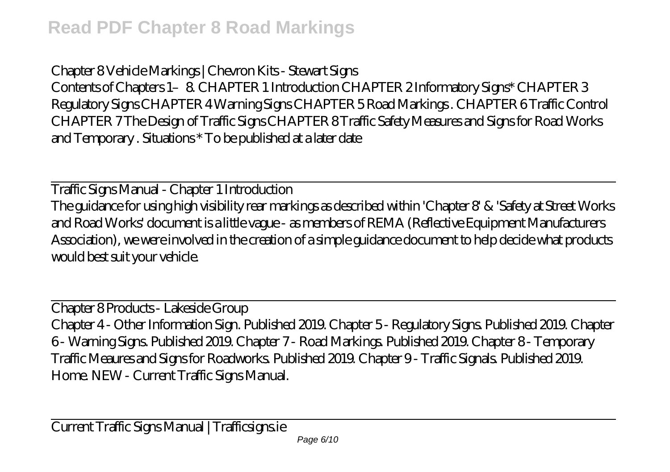Chapter 8 Vehicle Markings | Chevron Kits - Stewart Signs Contents of Chapters 1–8. CHAPTER 1 Introduction CHAPTER 2 Informatory Signs\* CHAPTER 3 Regulatory Signs CHAPTER 4 Warning Signs CHAPTER 5 Road Markings . CHAPTER 6 Traffic Control CHAPTER 7 The Design of Traffic Signs CHAPTER 8 Traffic Safety Measures and Signs for Road Works and Temporary . Situations \* To be published at a later date

Traffic Signs Manual - Chapter 1 Introduction The guidance for using high visibility rear markings as described within 'Chapter 8' & 'Safety at Street Works and Road Works' document is a little vague - as members of REMA (Reflective Equipment Manufacturers Association), we were involved in the creation of a simple guidance document to help decide what products would best suit your vehicle.

Chapter 8 Products - Lakeside Group Chapter 4 - Other Information Sign. Published 2019. Chapter 5 - Regulatory Signs. Published 2019. Chapter 6 - Warning Signs. Published 2019. Chapter 7 - Road Markings. Published 2019. Chapter 8 - Temporary Traffic Meaures and Signs for Roadworks. Published 2019. Chapter 9 - Traffic Signals. Published 2019. Home. NEW - Current Traffic Signs Manual.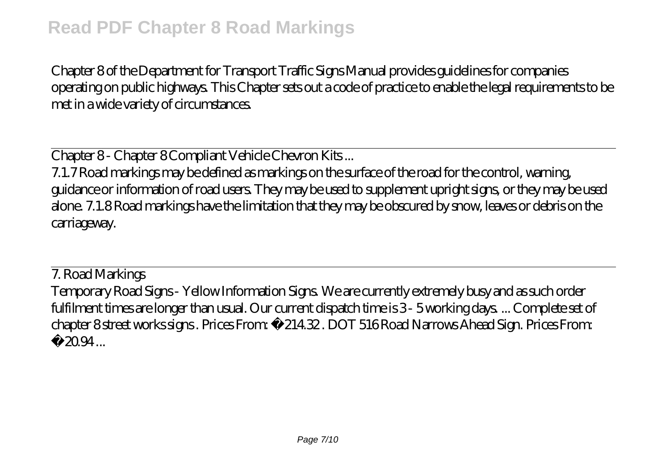Chapter 8 of the Department for Transport Traffic Signs Manual provides guidelines for companies operating on public highways. This Chapter sets out a code of practice to enable the legal requirements to be met in a wide variety of circumstances.

Chapter 8 - Chapter 8 Compliant Vehicle Chevron Kits...

7.1.7 Road markings may be defined as markings on the surface of the road for the control, warning, guidance or information of road users. They may be used to supplement upright signs, or they may be used alone. 7.1.8 Road markings have the limitation that they may be obscured by snow, leaves or debris on the carriageway.

7. Road Markings Temporary Road Signs - Yellow Information Signs. We are currently extremely busy and as such order fulfilment times are longer than usual. Our current dispatch time is 3-5 working days.... Complete set of chapter 8 street works signs . Prices From: £214.32 . DOT 516 Road Narrows Ahead Sign. Prices From: £ 20.94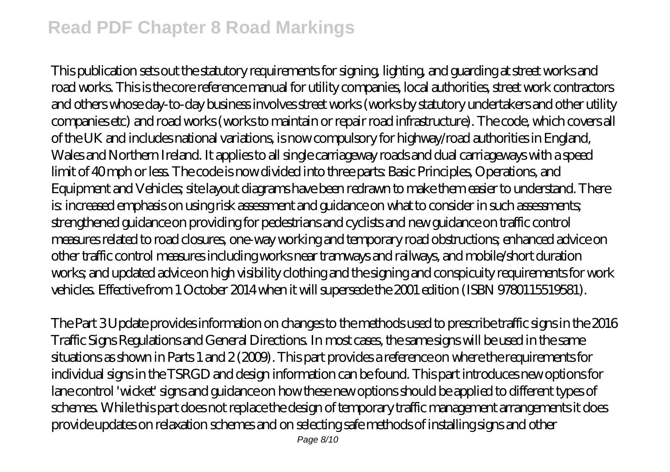## **Read PDF Chapter 8 Road Markings**

This publication sets out the statutory requirements for signing, lighting, and guarding at street works and road works. This is the core reference manual for utility companies, local authorities, street work contractors and others whose day-to-day business involves street works (works by statutory undertakers and other utility companies etc) and road works (works to maintain or repair road infrastructure). The code, which covers all of the UK and includes national variations, is now compulsory for highway/road authorities in England, Wales and Northern Ireland. It applies to all single carriageway roads and dual carriageways with a speed limit of 40 mph or less. The code is now divided into three parts: Basic Principles, Operations, and Equipment and Vehicles; site layout diagrams have been redrawn to make them easier to understand. There is: increased emphasis on using risk assessment and guidance on what to consider in such assessments; strengthened guidance on providing for pedestrians and cyclists and new guidance on traffic control measures related to road closures, one-way working and temporary road obstructions; enhanced advice on other traffic control measures including works near tramways and railways, and mobile/short duration works; and updated advice on high visibility clothing and the signing and conspicuity requirements for work vehicles. Effective from 1 October 2014 when it will supersede the 2001 edition (ISBN 9780115519581).

The Part 3 Update provides information on changes to the methods used to prescribe traffic signs in the 2016 Traffic Signs Regulations and General Directions. In most cases, the same signs will be used in the same situations as shown in Parts 1 and 2 (2009). This part provides a reference on where the requirements for individual signs in the TSRGD and design information can be found. This part introduces new options for lane control 'wicket' signs and guidance on how these new options should be applied to different types of schemes. While this part does not replace the design of temporary traffic management arrangements it does provide updates on relaxation schemes and on selecting safe methods of installing signs and other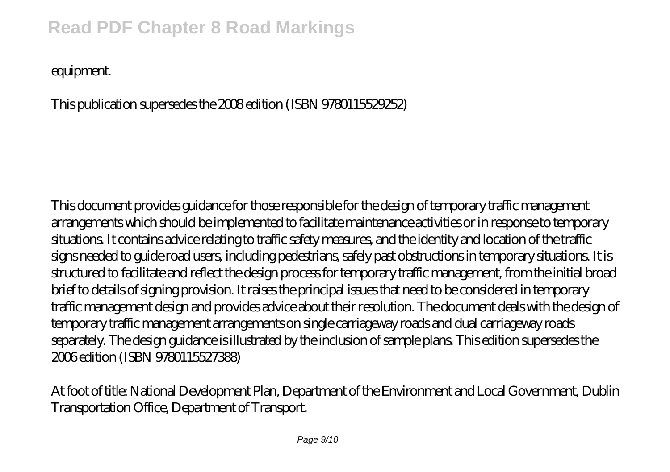## **Read PDF Chapter 8 Road Markings**

equipment.

This publication supersedes the 2008 edition (ISBN 9780115529252)

This document provides guidance for those responsible for the design of temporary traffic management arrangements which should be implemented to facilitate maintenance activities or in response to temporary situations. It contains advice relating to traffic safety measures, and the identity and location of the traffic signs needed to guide road users, including pedestrians, safely past obstructions in temporary situations. It is structured to facilitate and reflect the design process for temporary traffic management, from the initial broad brief to details of signing provision. It raises the principal issues that need to be considered in temporary traffic management design and provides advice about their resolution. The document deals with the design of temporary traffic management arrangements on single carriageway roads and dual carriageway roads separately. The design guidance is illustrated by the inclusion of sample plans. This edition supersedes the 2006 edition (ISBN 9780115527388)

At foot of title: National Development Plan, Department of the Environment and Local Government, Dublin Transportation Office, Department of Transport.